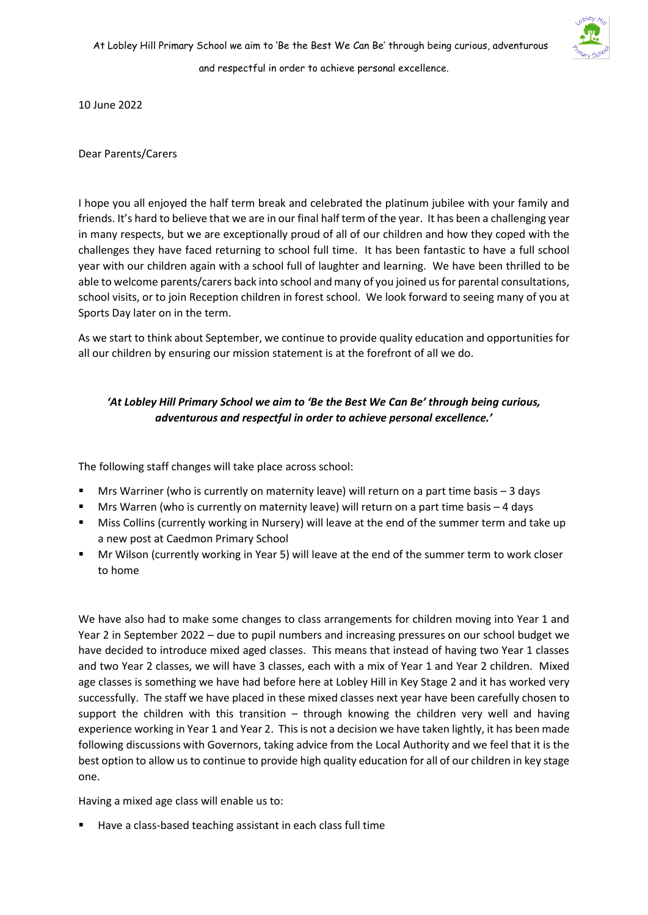

10 June 2022

Dear Parents/Carers

I hope you all enjoyed the half term break and celebrated the platinum jubilee with your family and friends. It's hard to believe that we are in our final half term of the year. It has been a challenging year in many respects, but we are exceptionally proud of all of our children and how they coped with the challenges they have faced returning to school full time. It has been fantastic to have a full school year with our children again with a school full of laughter and learning. We have been thrilled to be able to welcome parents/carers back into school and many of you joined us for parental consultations, school visits, or to join Reception children in forest school. We look forward to seeing many of you at Sports Day later on in the term.

As we start to think about September, we continue to provide quality education and opportunities for all our children by ensuring our mission statement is at the forefront of all we do.

# *'At Lobley Hill Primary School we aim to 'Be the Best We Can Be' through being curious, adventurous and respectful in order to achieve personal excellence.'*

The following staff changes will take place across school:

- Mrs Warriner (who is currently on maternity leave) will return on a part time basis  $-3$  days
- Mrs Warren (who is currently on maternity leave) will return on a part time basis  $-4$  days
- Miss Collins (currently working in Nursery) will leave at the end of the summer term and take up a new post at Caedmon Primary School
- Mr Wilson (currently working in Year 5) will leave at the end of the summer term to work closer to home

We have also had to make some changes to class arrangements for children moving into Year 1 and Year 2 in September 2022 – due to pupil numbers and increasing pressures on our school budget we have decided to introduce mixed aged classes. This means that instead of having two Year 1 classes and two Year 2 classes, we will have 3 classes, each with a mix of Year 1 and Year 2 children. Mixed age classes is something we have had before here at Lobley Hill in Key Stage 2 and it has worked very successfully. The staff we have placed in these mixed classes next year have been carefully chosen to support the children with this transition – through knowing the children very well and having experience working in Year 1 and Year 2. This is not a decision we have taken lightly, it has been made following discussions with Governors, taking advice from the Local Authority and we feel that it is the best option to allow us to continue to provide high quality education for all of our children in key stage one.

Having a mixed age class will enable us to:

Have a class-based teaching assistant in each class full time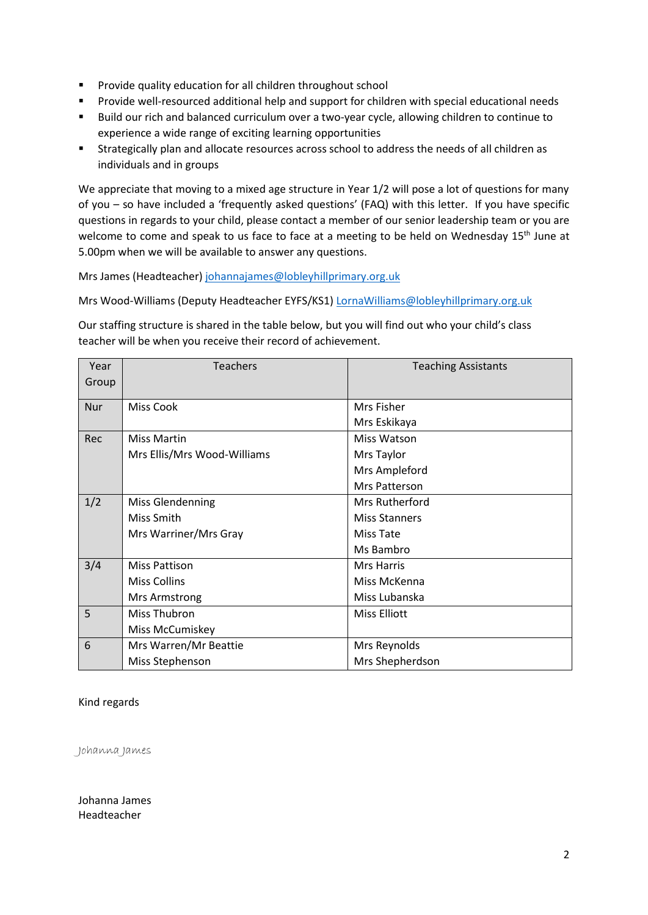- Provide quality education for all children throughout school
- Provide well-resourced additional help and support for children with special educational needs
- Build our rich and balanced curriculum over a two-year cycle, allowing children to continue to experience a wide range of exciting learning opportunities
- Strategically plan and allocate resources across school to address the needs of all children as individuals and in groups

We appreciate that moving to a mixed age structure in Year 1/2 will pose a lot of questions for many of you – so have included a 'frequently asked questions' (FAQ) with this letter. If you have specific questions in regards to your child, please contact a member of our senior leadership team or you are welcome to come and speak to us face to face at a meeting to be held on Wednesday 15<sup>th</sup> June at 5.00pm when we will be available to answer any questions.

Mrs James (Headteacher[\) johannajames@lobleyhillprimary.org.uk](mailto:johannajames@lobleyhillprimary.org.uk)

Mrs Wood-Williams (Deputy Headteacher EYFS/KS1) [LornaWilliams@lobleyhillprimary.org.uk](mailto:LornaWilliams@lobleyhillprimary.org.uk)

Our staffing structure is shared in the table below, but you will find out who your child's class teacher will be when you receive their record of achievement.

| Year       | <b>Teachers</b>             | <b>Teaching Assistants</b> |
|------------|-----------------------------|----------------------------|
| Group      |                             |                            |
| <b>Nur</b> | <b>Miss Cook</b>            | Mrs Fisher                 |
|            |                             | Mrs Eskikaya               |
| Rec        | <b>Miss Martin</b>          | Miss Watson                |
|            | Mrs Ellis/Mrs Wood-Williams | Mrs Taylor                 |
|            |                             | Mrs Ampleford              |
|            |                             | Mrs Patterson              |
| 1/2        | Miss Glendenning            | Mrs Rutherford             |
|            | Miss Smith                  | <b>Miss Stanners</b>       |
|            | Mrs Warriner/Mrs Gray       | Miss Tate                  |
|            |                             | Ms Bambro                  |
| 3/4        | <b>Miss Pattison</b>        | <b>Mrs Harris</b>          |
|            | <b>Miss Collins</b>         | Miss McKenna               |
|            | Mrs Armstrong               | Miss Lubanska              |
| 5          | Miss Thubron                | <b>Miss Elliott</b>        |
|            | Miss McCumiskey             |                            |
| 6          | Mrs Warren/Mr Beattie       | Mrs Reynolds               |
|            | Miss Stephenson             | Mrs Shepherdson            |

### Kind regards

Johanna James

Johanna James Headteacher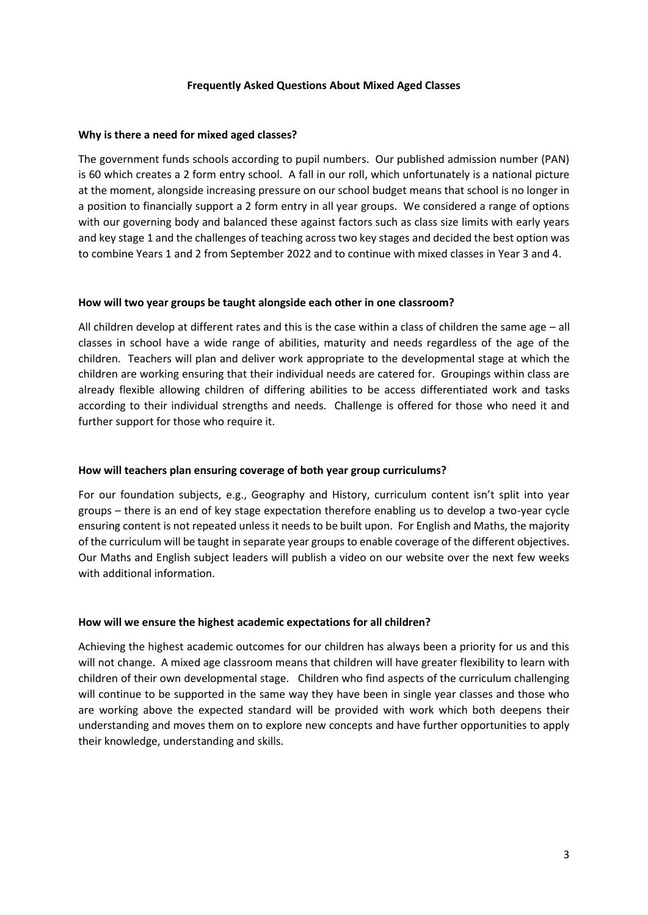#### **Frequently Asked Questions About Mixed Aged Classes**

#### **Why is there a need for mixed aged classes?**

The government funds schools according to pupil numbers. Our published admission number (PAN) is 60 which creates a 2 form entry school. A fall in our roll, which unfortunately is a national picture at the moment, alongside increasing pressure on our school budget means that school is no longer in a position to financially support a 2 form entry in all year groups. We considered a range of options with our governing body and balanced these against factors such as class size limits with early years and key stage 1 and the challenges of teaching across two key stages and decided the best option was to combine Years 1 and 2 from September 2022 and to continue with mixed classes in Year 3 and 4.

#### **How will two year groups be taught alongside each other in one classroom?**

All children develop at different rates and this is the case within a class of children the same age – all classes in school have a wide range of abilities, maturity and needs regardless of the age of the children. Teachers will plan and deliver work appropriate to the developmental stage at which the children are working ensuring that their individual needs are catered for. Groupings within class are already flexible allowing children of differing abilities to be access differentiated work and tasks according to their individual strengths and needs. Challenge is offered for those who need it and further support for those who require it.

### **How will teachers plan ensuring coverage of both year group curriculums?**

For our foundation subjects, e.g., Geography and History, curriculum content isn't split into year groups – there is an end of key stage expectation therefore enabling us to develop a two-year cycle ensuring content is not repeated unless it needs to be built upon. For English and Maths, the majority of the curriculum will be taught in separate year groups to enable coverage of the different objectives. Our Maths and English subject leaders will publish a video on our website over the next few weeks with additional information.

### **How will we ensure the highest academic expectations for all children?**

Achieving the highest academic outcomes for our children has always been a priority for us and this will not change. A mixed age classroom means that children will have greater flexibility to learn with children of their own developmental stage. Children who find aspects of the curriculum challenging will continue to be supported in the same way they have been in single year classes and those who are working above the expected standard will be provided with work which both deepens their understanding and moves them on to explore new concepts and have further opportunities to apply their knowledge, understanding and skills.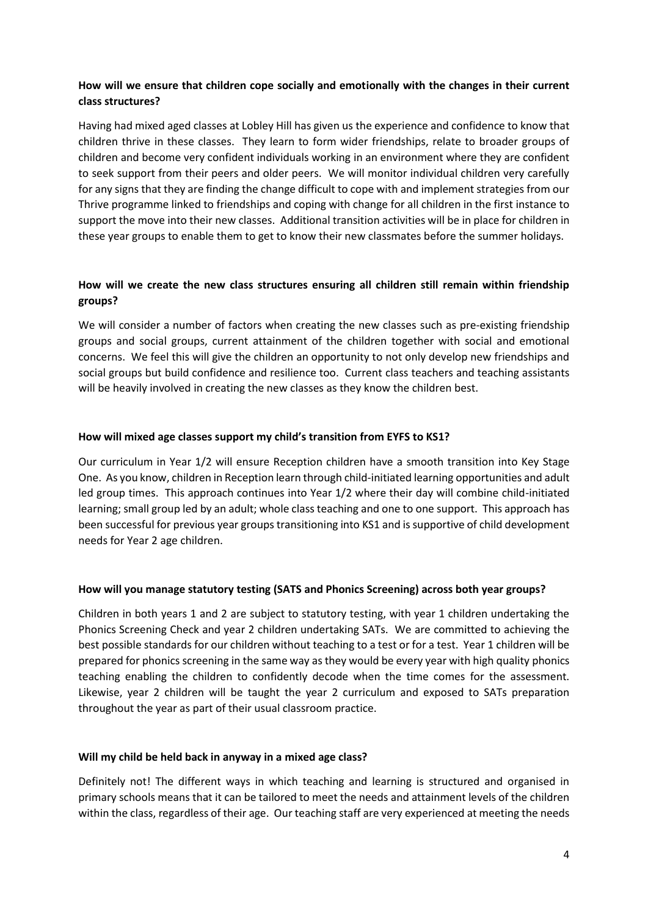# **How will we ensure that children cope socially and emotionally with the changes in their current class structures?**

Having had mixed aged classes at Lobley Hill has given us the experience and confidence to know that children thrive in these classes. They learn to form wider friendships, relate to broader groups of children and become very confident individuals working in an environment where they are confident to seek support from their peers and older peers. We will monitor individual children very carefully for any signs that they are finding the change difficult to cope with and implement strategies from our Thrive programme linked to friendships and coping with change for all children in the first instance to support the move into their new classes. Additional transition activities will be in place for children in these year groups to enable them to get to know their new classmates before the summer holidays.

# **How will we create the new class structures ensuring all children still remain within friendship groups?**

We will consider a number of factors when creating the new classes such as pre-existing friendship groups and social groups, current attainment of the children together with social and emotional concerns. We feel this will give the children an opportunity to not only develop new friendships and social groups but build confidence and resilience too. Current class teachers and teaching assistants will be heavily involved in creating the new classes as they know the children best.

### **How will mixed age classes support my child's transition from EYFS to KS1?**

Our curriculum in Year 1/2 will ensure Reception children have a smooth transition into Key Stage One. As you know, children in Reception learn through child-initiated learning opportunities and adult led group times. This approach continues into Year 1/2 where their day will combine child-initiated learning; small group led by an adult; whole class teaching and one to one support. This approach has been successful for previous year groups transitioning into KS1 and is supportive of child development needs for Year 2 age children.

### **How will you manage statutory testing (SATS and Phonics Screening) across both year groups?**

Children in both years 1 and 2 are subject to statutory testing, with year 1 children undertaking the Phonics Screening Check and year 2 children undertaking SATs. We are committed to achieving the best possible standards for our children without teaching to a test or for a test. Year 1 children will be prepared for phonics screening in the same way as they would be every year with high quality phonics teaching enabling the children to confidently decode when the time comes for the assessment. Likewise, year 2 children will be taught the year 2 curriculum and exposed to SATs preparation throughout the year as part of their usual classroom practice.

### **Will my child be held back in anyway in a mixed age class?**

Definitely not! The different ways in which teaching and learning is structured and organised in primary schools means that it can be tailored to meet the needs and attainment levels of the children within the class, regardless of their age. Our teaching staff are very experienced at meeting the needs